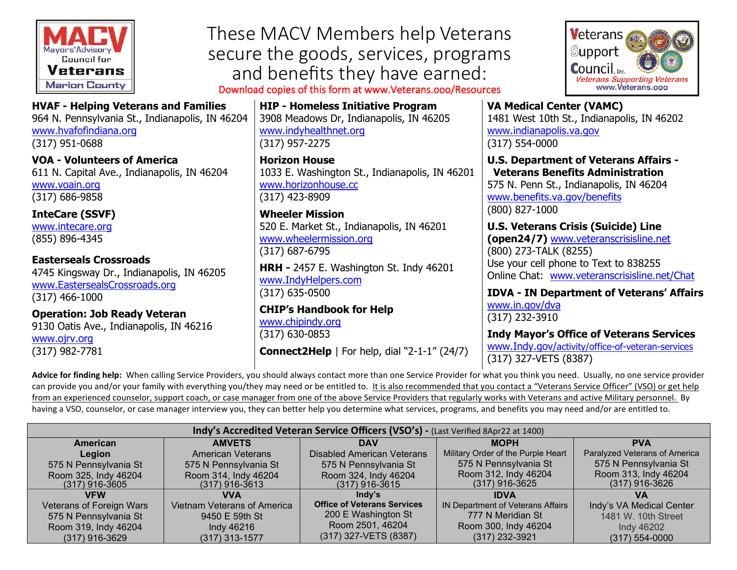

[www.hvafofindiana.org](http://www.hvafofindiana.org/)

These MACV Members help Veterans secure the goods, services, programs and benefits they have earned:

Download copies of this form at www.Veterans.ooo/Resources

**HIP - Homeless Initiative Program** 3908 Meadows Dr, Indianapolis, IN 46205 [www.indyhealthnet.org](http://www.indyhealthnet.org/) (317) 957-2275

**Horizon House** 1033 E. Washington St., Indianapolis, IN 46201 [www.horizonhouse.cc](http://www.horizonhouse.cc/) (317) 423-8909

**Wheeler Mission** 520 E. Market St., Indianapolis, IN 46201 [www.wheelermission.org](http://www.wheelermission.org/) (317) 687-6795

**HRH -** 2457 E. Washington St. Indy 46201 [www.IndyHelpers.com](http://www.indyhelpers.com/) (317) 635-0500

**CHIP's Handbook for Help** [www.chipindy.org](http://www.chipindy.org/) (317) 630-0853

**Connect2Help** | For help, dial "2-1-1" (24/7)



**VA Medical Center (VAMC)**  1481 West 10th St., Indianapolis, IN 46202 [www.indianapolis.va.gov](http://www.indianapolis.va.gov/) (317) 554-0000

**U.S. Department of Veterans Affairs - Veterans Benefits Administration**  575 N. Penn St., Indianapolis, IN 46204 [www.benefits.va.gov/benefits](http://www.benefits.va.gov/benefits) (800) 827-1000

**U.S. Veterans Crisis (Suicide) Line (open24/7)** [www.veteranscrisisline.net](http://www.veteranscrisisline.net/) (800) 273-TALK (8255) Use your cell phone to Text to 838255 Online Chat: [www.veteranscrisisline.net/Chat](http://www.veteranscrisisline.net/Chat)

**IDVA - IN Department of Veterans' Affairs** [www.in.gov/dva](http://www.in.gov/dva) (317) 232-3910

**Indy Mayor's Office of Veterans Services** [www.Indy.gov/](http://www.indy.gov/)activity/office-of-veteran-services

(317) 327-VETS (8387)

**Advice for finding help:** When calling Service Providers, you should always contact more than one Service Provider for what you think you need. Usually, no one service provider can provide you and/or your family with everything you/they may need or be entitled to. It is also recommended that you contact a "Veterans Service Officer" (VSO) or get help from an experienced counselor, support coach, or case manager from one of the above Service Providers that regularly works with Veterans and active Military personnel. By having a VSO, counselor, or case manager interview you, they can better help you determine what services, programs, and benefits you may need and/or are entitled to.

| Indy's Accredited Veteran Service Officers (VSO's) - (Last Verified 8Apr22 at 1400) |                                    |                                    |                                    |                               |
|-------------------------------------------------------------------------------------|------------------------------------|------------------------------------|------------------------------------|-------------------------------|
| American                                                                            | <b>AMVETS</b>                      | DAV                                | <b>MOPH</b>                        | <b>PVA</b>                    |
| Legion                                                                              | American Veterans                  | <b>Disabled American Veterans</b>  | Military Order of the Purple Heart | Paralyzed Veterans of America |
| 575 N Pennsylvania St                                                               | 575 N Pennsylvania St              | 575 N Pennsylvania St              | 575 N Pennsylvania St              | 575 N Pennsylvania St         |
| Room 325, Indy 46204                                                                | Room 314, Indy 46204               | Room 324, Indy 46204               | Room 312, Indy 46204               | Room 313, Indy 46204          |
| $(317)$ 916-3605                                                                    | $(317)$ 916-3613                   | $(317)$ 916-3615                   | $(317)$ 916-3625                   | $(317)$ 916-3626              |
| <b>VFW</b>                                                                          | VVA                                | Indy's                             | <b>IDVA</b>                        | VА                            |
| <b>Veterans of Foreign Wars</b>                                                     | <b>Vietnam Veterans of America</b> | <b>Office of Veterans Services</b> | IN Department of Veterans Affairs  | Indy's VA Medical Center      |
| 575 N Pennsylvania St                                                               | 9450 E 59th St                     | 200 E Washington St                | 777 N Meridian St                  | 1481 W. 10th Street           |
| Room 319, Indy 46204                                                                | Indy 46216                         | Room 2501, 46204                   | Room 300, Indy 46204               | Indy 46202                    |
| $(317)$ 916-3629                                                                    | $(317)$ 313-1577                   | (317) 327-VETS (8387)              | $(317)$ 232-3921                   | $(317) 554 - 0000$            |

(317) 951-0688 **VOA - Volunteers of America** 611 N. Capital Ave., Indianapolis, IN 46204 [www.voain.org](http://www.voain.org/) (317) 686-9858

**HVAF - Helping Veterans and Families** 964 N. Pennsylvania St., Indianapolis, IN 46204

**InteCare (SSVF)** [www.intecare.org](http://www.intecare.org/) (855) 896-4345

**Easterseals Crossroads** 4745 Kingsway Dr., Indianapolis, IN 46205 [www.EastersealsCrossroads.org](http://www.eastersealscrossroads.org/) (317) 466-1000

**Operation: Job Ready Veteran** 9130 Oatis Ave., Indianapolis, IN 46216 [www.ojrv.org](http://www.ojrv.org/) (317) 982-7781